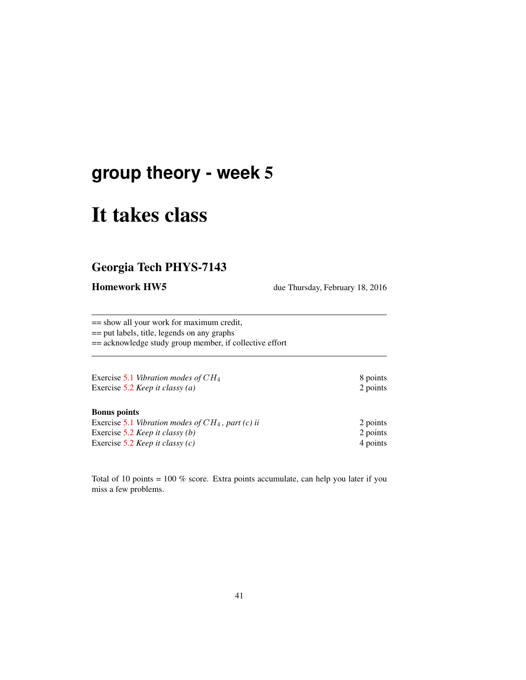## **group theory - week** 5

# It takes class

## Georgia Tech PHYS-7143

Homework HW5 due Thursday, February 18, 2016

== show all your work for maximum credit, == put labels, title, legends on any graphs

== acknowledge study group member, if collective effort

| Exercise 5.1 Vibration modes of $CH_4$ | 8 points |
|----------------------------------------|----------|
| Exercise 5.2 Keep it classy (a)        | 2 points |

#### Bonus points

| Exercise 5.1 Vibration modes of $CH_4$ , part (c) ii | 2 points |
|------------------------------------------------------|----------|
| Exercise 5.2 <i>Keep it classy (b)</i>               | 2 points |
| Exercise 5.2 <i>Keep it classy (c)</i>               | 4 points |

Total of 10 points = 100 % score. Extra points accumulate, can help you later if you miss a few problems.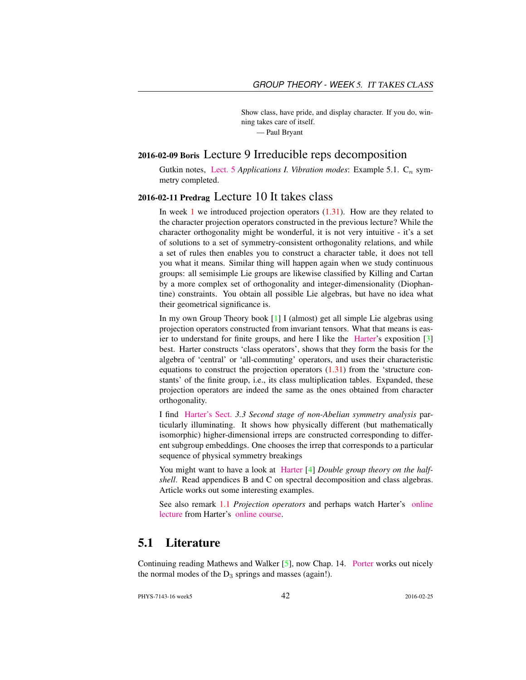Show class, have pride, and display character. If you do, winning takes care of itself.

— Paul Bryant

#### 2016-02-09 Boris Lecture 9 Irreducible reps decomposition

Gutkin notes, [Lect. 5](http://birdtracks.eu/courses/PHYS-7143-16/groups.pdf) *Applications I. Vibration modes*: Example 5.1.  $C_n$  symmetry completed.

#### 2016-02-11 Predrag Lecture 10 It takes class

In week 1 we introduced projection operators  $(1.31)$ . How are they related to the character projection operators constructed in the previous lecture? While the character orthogonality might be wonderful, it is not very intuitive - it's a set of solutions to a set of symmetry-consistent orthogonality relations, and while a set of rules then enables you to construct a character table, it does not tell you what it means. Similar thing will happen again when we study continuous groups: all semisimple Lie groups are likewise classified by Killing and Cartan by a more complex set of orthogonality and integer-dimensionality (Diophantine) constraints. You obtain all possible Lie algebras, but have no idea what their geometrical significance is.

In my own Group Theory book [1] I (almost) get all simple Lie algebras using projection operators constructed from invariant tensors. What that means is easier to understand for finite groups, and here I like the [Harter'](http://www.uark.edu/ua/modphys/markup/PSDS_Info.html)s exposition [3] best. Harter constructs 'class operators', shows that they form the basis for the algebra of 'central' or 'all-commuting' operators, and uses their characteristic equations to construct the projection operators  $(1.31)$  from the 'structure constants' of the finite group, i.e., its class multiplication tables. Expanded, these projection operators are indeed the same as the ones obtained from character orthogonality.

I find [Harter's Sect.](http://www.uark.edu/ua/modphys/markup/PSDS_UnitsForceDL.php?fname=PSDS_Ch.3_(4.22.10).pdf) *3.3 Second stage of non-Abelian symmetry analysis* particularly illuminating. It shows how physically different (but mathematically isomorphic) higher-dimensional irreps are constructed corresponding to different subgroup embeddings. One chooses the irrep that corresponds to a particular sequence of physical symmetry breakings

You might want to have a look at [Harter](http://birdtracks.eu/library/Harper78a.pdf) [4] *Double group theory on the halfshell*. Read appendices B and C on spectral decomposition and class algebras. Article works out some interesting examples.

See also remark 1.1 *Projection operators* and perhaps watch Harter's [online](https://www.youtube.com/watch?v=jLO7-Pks0QM) [lecture](https://www.youtube.com/watch?v=jLO7-Pks0QM) from Harter's [online course.](http://www.uark.edu/ua/modphys/markup/GTQM_TitlePage_2015.html)

### 5.1 Literature

Continuing reading Mathews and Walker [5], now Chap. 14. [Porter](http://chaosbook.org/~predrag/courses/PHYS-7143-08/Porter3-10.pdf) works out nicely the normal modes of the  $D_3$  springs and masses (again!).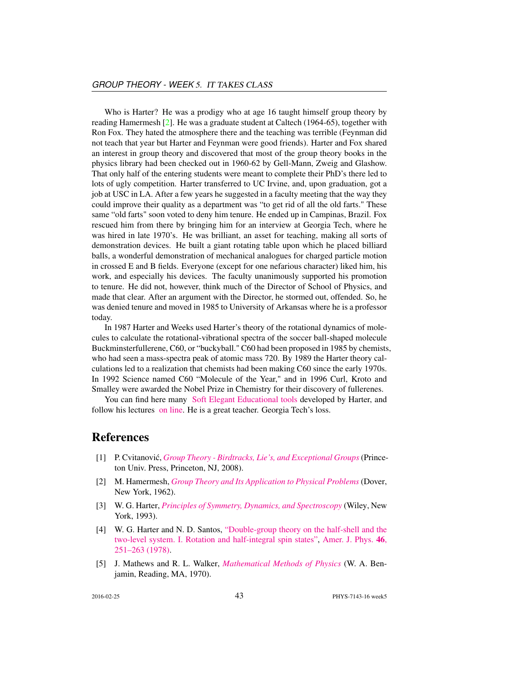Who is Harter? He was a prodigy who at age 16 taught himself group theory by reading Hamermesh [2]. He was a graduate student at Caltech (1964-65), together with Ron Fox. They hated the atmosphere there and the teaching was terrible (Feynman did not teach that year but Harter and Feynman were good friends). Harter and Fox shared an interest in group theory and discovered that most of the group theory books in the physics library had been checked out in 1960-62 by Gell-Mann, Zweig and Glashow. That only half of the entering students were meant to complete their PhD's there led to lots of ugly competition. Harter transferred to UC Irvine, and, upon graduation, got a job at USC in LA. After a few years he suggested in a faculty meeting that the way they could improve their quality as a department was "to get rid of all the old farts." These same "old farts" soon voted to deny him tenure. He ended up in Campinas, Brazil. Fox rescued him from there by bringing him for an interview at Georgia Tech, where he was hired in late 1970's. He was brilliant, an asset for teaching, making all sorts of demonstration devices. He built a giant rotating table upon which he placed billiard balls, a wonderful demonstration of mechanical analogues for charged particle motion in crossed E and B fields. Everyone (except for one nefarious character) liked him, his work, and especially his devices. The faculty unanimously supported his promotion to tenure. He did not, however, think much of the Director of School of Physics, and made that clear. After an argument with the Director, he stormed out, offended. So, he was denied tenure and moved in 1985 to University of Arkansas where he is a professor today.

In 1987 Harter and Weeks used Harter's theory of the rotational dynamics of molecules to calculate the rotational-vibrational spectra of the soccer ball-shaped molecule Buckminsterfullerene, C60, or "buckyball." C60 had been proposed in 1985 by chemists, who had seen a mass-spectra peak of atomic mass 720. By 1989 the Harter theory calculations led to a realization that chemists had been making C60 since the early 1970s. In 1992 Science named C60 "Molecule of the Year," and in 1996 Curl, Kroto and Smalley were awarded the Nobel Prize in Chemistry for their discovery of fullerenes.

You can find here many [Soft Elegant Educational tools](http://www.uark.edu/ua/modphys/markup/Harter-SoftWebApps.html) developed by Harter, and follow his lectures [on line.](https://www.youtube.com/channel/UC2KBYYdZOfotnkUOTthDjRA) He is a great teacher. Georgia Tech's loss.

#### References

- [1] P. Cvitanovic,´ *[Group Theory Birdtracks, Lie's, and Exceptional Groups](birdtracks.eu)*(Princeton Univ. Press, Princeton, NJ, 2008).
- [2] M. Hamermesh, *[Group Theory and Its Application to Physical Problems](http://books.google.com/books?vid=ISBN9780486661810)* (Dover, New York, 1962).
- [3] W. G. Harter, *[Principles of Symmetry, Dynamics, and Spectroscopy](http://www.uark.edu/ua/modphys/markup/PSDS_Info.html)* (Wiley, New York, 1993).
- [4] W. G. Harter and N. D. Santos, ["Double-group theory on the half-shell and the](http://dx.doi.org/10.1119/1.11134) [two-level system. I. Rotation and half-integral spin states",](http://dx.doi.org/10.1119/1.11134) [Amer. J. Phys.](http://dx.doi.org/10.1119/1.11134) 46, [251–263 \(1978\).](http://dx.doi.org/10.1119/1.11134)
- [5] J. Mathews and R. L. Walker, *[Mathematical Methods of Physics](http://books.google.com/books?vid=ISBN9780805370027)* (W. A. Benjamin, Reading, MA, 1970).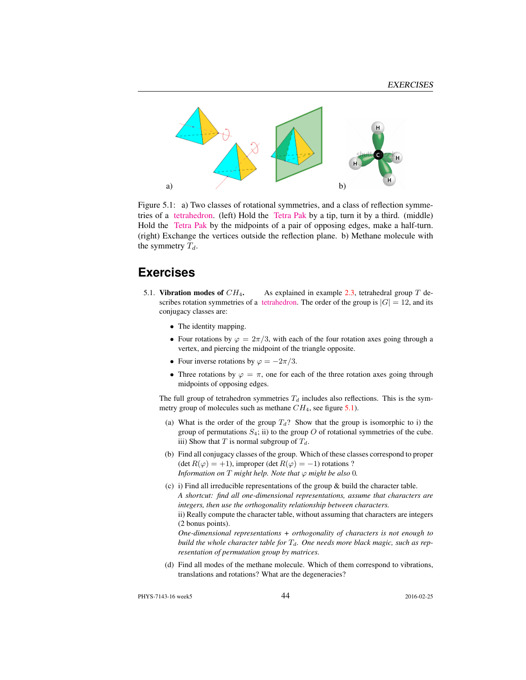

Figure 5.1: a) Two classes of rotational symmetries, and a class of reflection symmetries of a [tetrahedron.](https://flic.kr/p/a5oFBF) (left) Hold the [Tetra Pak](https://www.youtube.com/watch?v=ztOLwig7v5Q) by a tip, turn it by a third. (middle) Hold the [Tetra Pak](https://flic.kr/p/aUdHDx) by the midpoints of a pair of opposing edges, make a half-turn. (right) Exchange the vertices outside the reflection plane. b) Methane molecule with the symmetry  $T_d$ .

### **Exercises**

- 5.1. Vibration modes of  $CH_4$ . As explained in example 2.3, tetrahedral group T describes rotation symmetries of a [tetrahedron.](https://www.youtube.com/watch?v=OsNXsckES7w) The order of the group is  $|G| = 12$ , and its conjugacy classes are:
	- The identity mapping.
	- Four rotations by  $\varphi = 2\pi/3$ , with each of the four rotation axes going through a vertex, and piercing the midpoint of the triangle opposite.
	- Four inverse rotations by  $\varphi = -2\pi/3$ .
	- Three rotations by  $\varphi = \pi$ , one for each of the three rotation axes going through midpoints of opposing edges.

The full group of tetrahedron symmetries  $T_d$  includes also reflections. This is the symmetry group of molecules such as methane  $CH_4$ , see figure 5.1).

- (a) What is the order of the group  $T_d$ ? Show that the group is isomorphic to i) the group of permutations  $S_4$ ; ii) to the group  $O$  of rotational symmetries of the cube. iii) Show that T is normal subgroup of  $T_d$ .
- (b) Find all conjugacy classes of the group. Which of these classes correspond to proper (det  $R(\varphi) = +1$ ), improper (det  $R(\varphi) = -1$ ) rotations ? *Information on*  $T$  *might help. Note that*  $\varphi$  *might be also* 0*.*
- (c) i) Find all irreducible representations of the group & build the character table. *A shortcut: find all one-dimensional representations, assume that characters are integers, then use the orthogonality relationship between characters.* ii) Really compute the character table, without assuming that characters are integers (2 bonus points). *One-dimensional representations + orthogonality of characters is not enough to*

*build the whole character table for*  $T<sub>d</sub>$ *. One needs more black magic, such as representation of permutation group by matrices.*

(d) Find all modes of the methane molecule. Which of them correspond to vibrations, translations and rotations? What are the degeneracies?